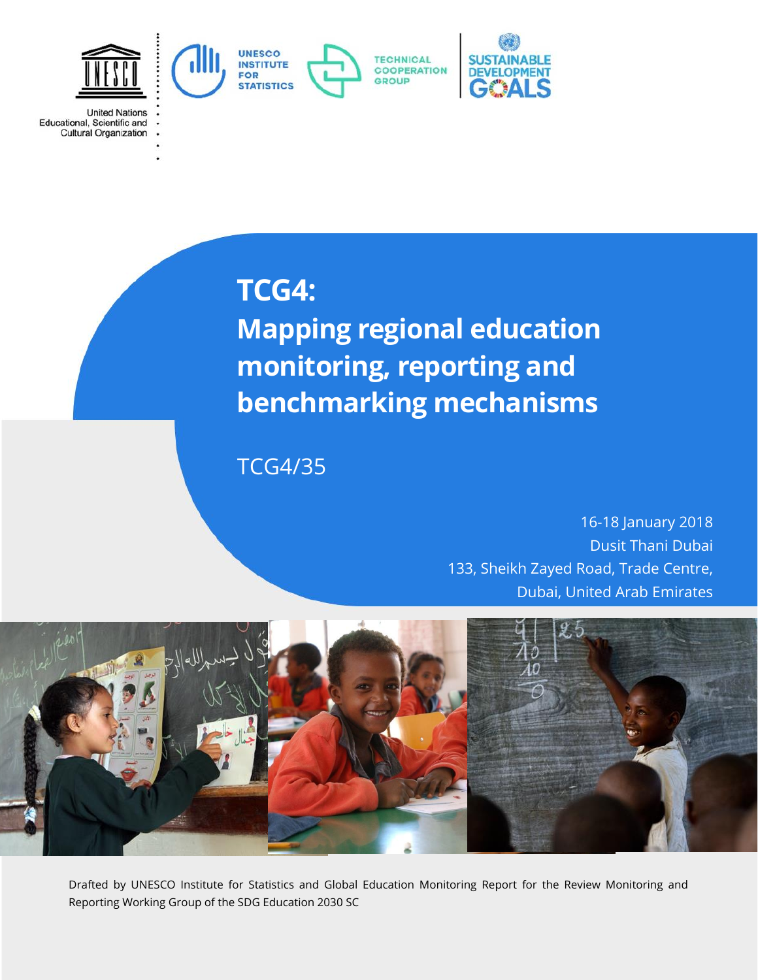

**United Nations** Educational, Scientific and<br>Cultural Organization

# **TCG4:**

**Mapping regional education monitoring, reporting and benchmarking mechanisms**

TCG4/35

16-18 January 2018 Dusit Thani Dubai 133, Sheikh Zayed Road, Trade Centre, Dubai, United Arab Emirates



Drafted by UNESCO Institute for Statistics and Global Education Monitoring Report for the Review Monitoring and Reporting Working Group of the SDG Education 2030 SC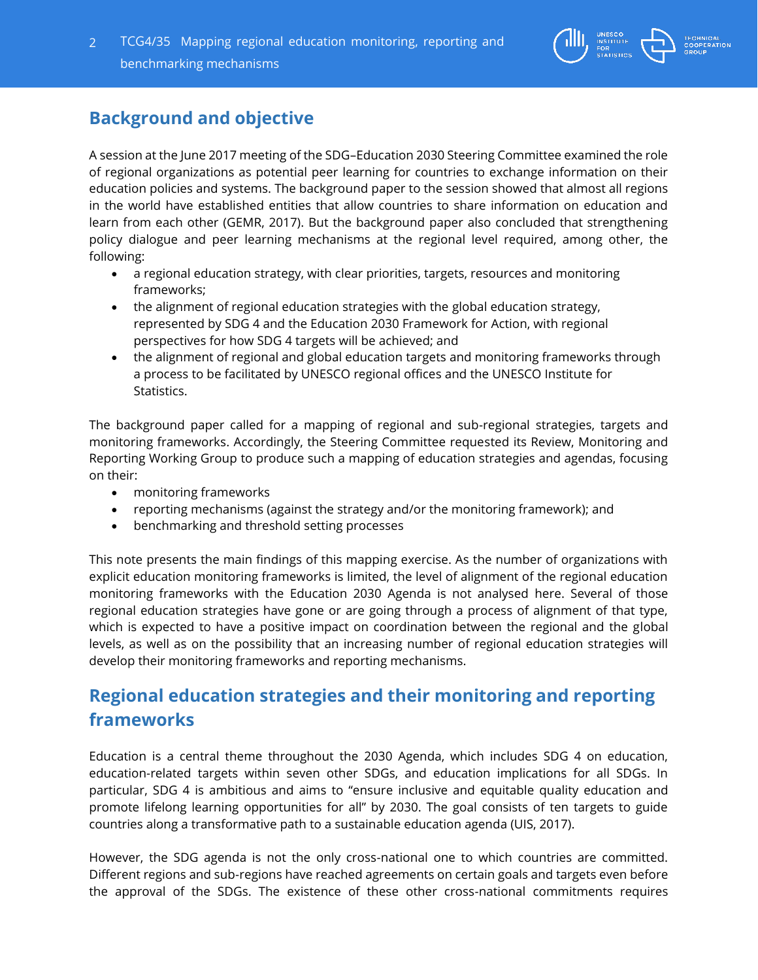

# **Background and objective**

A session at the June 2017 meeting of the SDG–Education 2030 Steering Committee examined the role of regional organizations as potential peer learning for countries to exchange information on their education policies and systems. The background paper to the session showed that almost all regions in the world have established entities that allow countries to share information on education and learn from each other (GEMR, 2017). But the background paper also concluded that strengthening policy dialogue and peer learning mechanisms at the regional level required, among other, the following:

- a regional education strategy, with clear priorities, targets, resources and monitoring frameworks;
- the alignment of regional education strategies with the global education strategy, represented by SDG 4 and the Education 2030 Framework for Action, with regional perspectives for how SDG 4 targets will be achieved; and
- the alignment of regional and global education targets and monitoring frameworks through a process to be facilitated by UNESCO regional offices and the UNESCO Institute for Statistics.

The background paper called for a mapping of regional and sub-regional strategies, targets and monitoring frameworks. Accordingly, the Steering Committee requested its Review, Monitoring and Reporting Working Group to produce such a mapping of education strategies and agendas, focusing on their:

- monitoring frameworks
- reporting mechanisms (against the strategy and/or the monitoring framework); and
- benchmarking and threshold setting processes

This note presents the main findings of this mapping exercise. As the number of organizations with explicit education monitoring frameworks is limited, the level of alignment of the regional education monitoring frameworks with the Education 2030 Agenda is not analysed here. Several of those regional education strategies have gone or are going through a process of alignment of that type, which is expected to have a positive impact on coordination between the regional and the global levels, as well as on the possibility that an increasing number of regional education strategies will develop their monitoring frameworks and reporting mechanisms.

# **Regional education strategies and their monitoring and reporting frameworks**

Education is a central theme throughout the 2030 Agenda, which includes SDG 4 on education, education-related targets within seven other SDGs, and education implications for all SDGs. In particular, SDG 4 is ambitious and aims to "ensure inclusive and equitable quality education and promote lifelong learning opportunities for all" by 2030. The goal consists of ten targets to guide countries along a transformative path to a sustainable education agenda (UIS, 2017).

However, the SDG agenda is not the only cross-national one to which countries are committed. Different regions and sub-regions have reached agreements on certain goals and targets even before the approval of the SDGs. The existence of these other cross-national commitments requires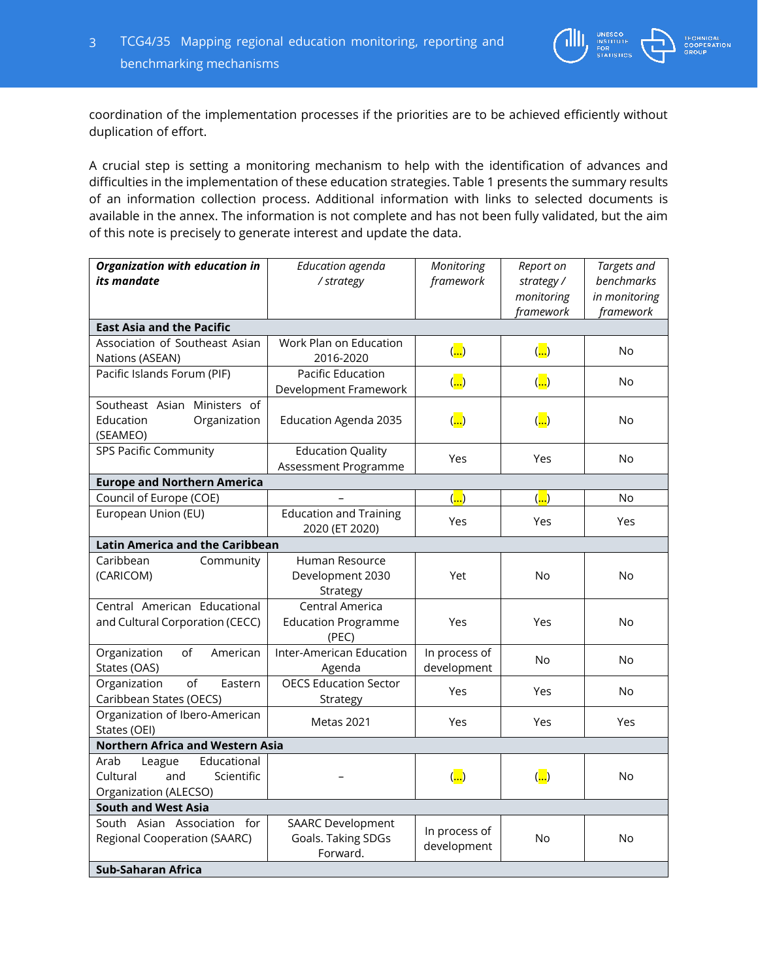

A crucial step is setting a monitoring mechanism to help with the identification of advances and difficulties in the implementation of these education strategies. Table 1 presents the summary results of an information collection process. Additional information with links to selected documents is available in the annex. The information is not complete and has not been fully validated, but the aim of this note is precisely to generate interest and update the data.

| Organization with education in<br><i>its</i> mandate                                    | Education agenda<br>/ strategy                             | Report on<br>Monitoring<br>framework<br>strategy / |                                 | Targets and<br>benchmarks  |
|-----------------------------------------------------------------------------------------|------------------------------------------------------------|----------------------------------------------------|---------------------------------|----------------------------|
|                                                                                         |                                                            |                                                    | monitoring<br>framework         | in monitoring<br>framework |
| <b>East Asia and the Pacific</b>                                                        |                                                            |                                                    |                                 |                            |
| Association of Southeast Asian<br>Nations (ASEAN)                                       | Work Plan on Education<br>2016-2020                        | $\left(\frac{1}{\cdots}\right)$                    | $\overline{(\ldots)}$           | No                         |
| Pacific Islands Forum (PIF)                                                             | Pacific Education<br>Development Framework                 | $\overline{(\ldots)}$                              | $\left(\frac{1}{\cdots}\right)$ | <b>No</b>                  |
| Southeast Asian Ministers of<br>Education<br>Organization<br>(SEAMEO)                   | Education Agenda 2035                                      | $\overline{(\ldots)}$                              | $\left(\frac{1}{\cdots}\right)$ | No                         |
| <b>SPS Pacific Community</b>                                                            | <b>Education Quality</b><br>Assessment Programme           | Yes                                                | Yes                             | No                         |
| <b>Europe and Northern America</b>                                                      |                                                            |                                                    |                                 |                            |
| Council of Europe (COE)                                                                 |                                                            | $\left(\frac{1}{\cdot}\right)$                     | $\left(\frac{1}{\cdots}\right)$ | No                         |
| European Union (EU)                                                                     | <b>Education and Training</b><br>2020 (ET 2020)            | Yes                                                | Yes                             |                            |
| Latin America and the Caribbean                                                         |                                                            |                                                    |                                 |                            |
| Caribbean<br>Community<br>(CARICOM)                                                     | Human Resource<br>Development 2030<br>Strategy             | Yet                                                | <b>No</b>                       | <b>No</b>                  |
| Central American Educational<br>and Cultural Corporation (CECC)                         | Central America<br><b>Education Programme</b><br>(PEC)     | Yes                                                | Yes                             | No                         |
| Organization<br>of<br>American<br>States (OAS)                                          | Inter-American Education<br>Agenda                         | In process of<br>development                       | No                              | <b>No</b>                  |
| of<br>Organization<br>Eastern<br>Caribbean States (OECS)                                | <b>OECS Education Sector</b><br>Strategy                   | Yes                                                | Yes                             | No                         |
| Organization of Ibero-American<br>States (OEI)                                          | Metas 2021                                                 | Yes                                                | Yes                             | Yes                        |
| <b>Northern Africa and Western Asia</b>                                                 |                                                            |                                                    |                                 |                            |
| Educational<br>Arab<br>League<br>Cultural<br>and<br>Scientific<br>Organization (ALECSO) |                                                            | $\overline{(\ldots)}$                              | $\left(\frac{1}{\cdots}\right)$ | No                         |
| <b>South and West Asia</b>                                                              |                                                            |                                                    |                                 |                            |
| South Asian Association for<br>Regional Cooperation (SAARC)                             | <b>SAARC Development</b><br>Goals. Taking SDGs<br>Forward. | In process of<br>development                       | <b>No</b>                       | <b>No</b>                  |
| <b>Sub-Saharan Africa</b>                                                               |                                                            |                                                    |                                 |                            |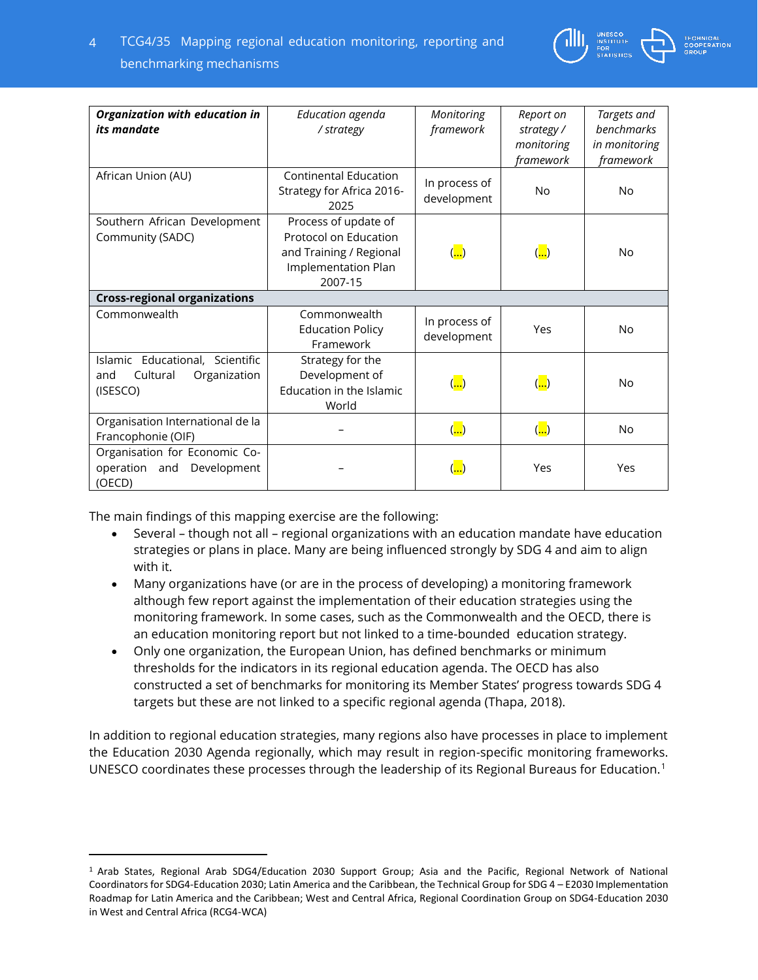| Organization with education in      | Education agenda             | Monitoring                      | Report on                                    | Targets and   |
|-------------------------------------|------------------------------|---------------------------------|----------------------------------------------|---------------|
| <i>its</i> mandate                  | / strategy                   | framework                       | strategy /                                   | benchmarks    |
|                                     |                              |                                 | monitoring                                   | in monitoring |
|                                     |                              |                                 | framework                                    | framework     |
| African Union (AU)                  | <b>Continental Education</b> |                                 |                                              |               |
|                                     | Strategy for Africa 2016-    | In process of                   | No                                           | <b>No</b>     |
|                                     | 2025                         | development                     |                                              |               |
|                                     |                              |                                 |                                              |               |
| Southern African Development        | Process of update of         |                                 |                                              |               |
| Community (SADC)                    | Protocol on Education        |                                 |                                              | <b>No</b>     |
|                                     | and Training / Regional      | $\left(\frac{1}{\cdot}\right)$  | $\left(\frac{\cdot}{\cdot\cdot\cdot}\right)$ |               |
|                                     | Implementation Plan          |                                 |                                              |               |
|                                     | 2007-15                      |                                 |                                              |               |
| <b>Cross-regional organizations</b> |                              |                                 |                                              |               |
| Commonwealth                        | Commonwealth                 |                                 |                                              |               |
|                                     | <b>Education Policy</b>      | In process of                   | Yes                                          | <b>No</b>     |
|                                     | Framework                    | development                     |                                              |               |
| Islamic Educational, Scientific     | Strategy for the             |                                 |                                              |               |
| Cultural<br>Organization<br>and     | Development of               |                                 |                                              |               |
| (ISESCO)                            | Education in the Islamic     | $\overline{(\ldots)}$           | $\left(\frac{1}{\cdots}\right)$              | No            |
|                                     | World                        |                                 |                                              |               |
|                                     |                              |                                 |                                              |               |
| Organisation International de la    |                              | $\left(\frac{1}{\cdots}\right)$ | $\left(\frac{1}{\cdot \cdot \cdot}\right)$   | <b>No</b>     |
| Francophonie (OIF)                  |                              |                                 |                                              |               |
| Organisation for Economic Co-       |                              |                                 |                                              |               |
| Development<br>operation and        |                              | $(\ldots)$                      | Yes                                          | Yes           |
| (OECD)                              |                              |                                 |                                              |               |

The main findings of this mapping exercise are the following:

 $\overline{a}$ 

- Several though not all regional organizations with an education mandate have education strategies or plans in place. Many are being influenced strongly by SDG 4 and aim to align with it.
- Many organizations have (or are in the process of developing) a monitoring framework although few report against the implementation of their education strategies using the monitoring framework. In some cases, such as the Commonwealth and the OECD, there is an education monitoring report but not linked to a time-bounded education strategy.
- Only one organization, the European Union, has defined benchmarks or minimum thresholds for the indicators in its regional education agenda. The OECD has also constructed a set of benchmarks for monitoring its Member States' progress towards SDG 4 targets but these are not linked to a specific regional agenda (Thapa, 2018).

In addition to regional education strategies, many regions also have processes in place to implement the Education 2030 Agenda regionally, which may result in region-specific monitoring frameworks. UNESCO coordinates these processes through the leadership of its Regional Bureaus for Education.<sup>1</sup>

<sup>1</sup> Arab States, Regional Arab SDG4/Education 2030 Support Group; Asia and the Pacific, Regional Network of National Coordinators for SDG4-Education 2030; Latin America and the Caribbean, the Technical Group for SDG 4 – E2030 Implementation Roadmap for Latin America and the Caribbean; West and Central Africa, Regional Coordination Group on SDG4-Education 2030 in West and Central Africa (RCG4-WCA)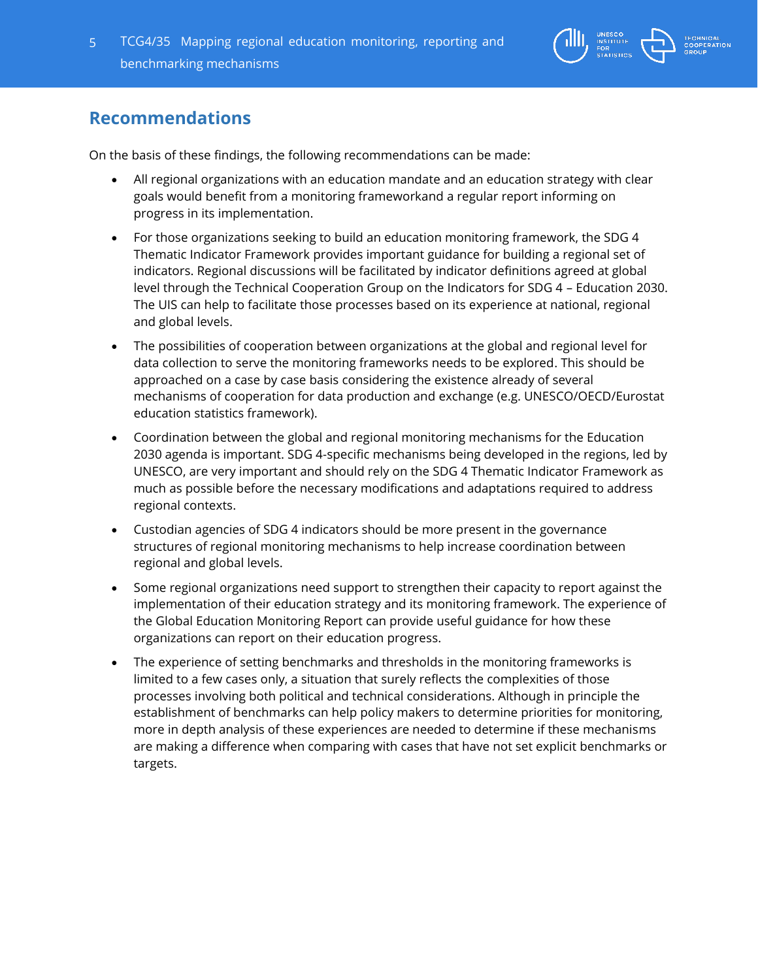

## **Recommendations**

On the basis of these findings, the following recommendations can be made:

- All regional organizations with an education mandate and an education strategy with clear goals would benefit from a monitoring frameworkand a regular report informing on progress in its implementation.
- For those organizations seeking to build an education monitoring framework, the SDG 4 Thematic Indicator Framework provides important guidance for building a regional set of indicators. Regional discussions will be facilitated by indicator definitions agreed at global level through the Technical Cooperation Group on the Indicators for SDG 4 – Education 2030. The UIS can help to facilitate those processes based on its experience at national, regional and global levels.
- The possibilities of cooperation between organizations at the global and regional level for data collection to serve the monitoring frameworks needs to be explored. This should be approached on a case by case basis considering the existence already of several mechanisms of cooperation for data production and exchange (e.g. UNESCO/OECD/Eurostat education statistics framework).
- Coordination between the global and regional monitoring mechanisms for the Education 2030 agenda is important. SDG 4-specific mechanisms being developed in the regions, led by UNESCO, are very important and should rely on the SDG 4 Thematic Indicator Framework as much as possible before the necessary modifications and adaptations required to address regional contexts.
- Custodian agencies of SDG 4 indicators should be more present in the governance structures of regional monitoring mechanisms to help increase coordination between regional and global levels.
- Some regional organizations need support to strengthen their capacity to report against the implementation of their education strategy and its monitoring framework. The experience of the Global Education Monitoring Report can provide useful guidance for how these organizations can report on their education progress.
- The experience of setting benchmarks and thresholds in the monitoring frameworks is limited to a few cases only, a situation that surely reflects the complexities of those processes involving both political and technical considerations. Although in principle the establishment of benchmarks can help policy makers to determine priorities for monitoring, more in depth analysis of these experiences are needed to determine if these mechanisms are making a difference when comparing with cases that have not set explicit benchmarks or targets.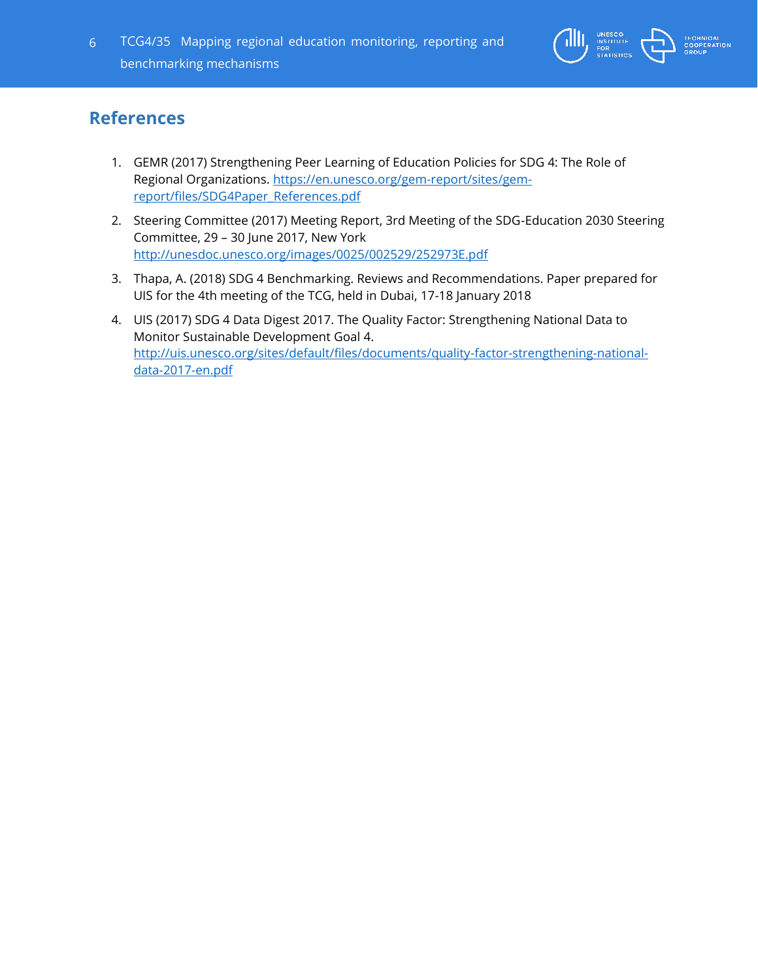

# **References**

- 1. GEMR (2017) Strengthening Peer Learning of Education Policies for SDG 4: The Role of Regional Organizations. [https://en.unesco.org/gem-report/sites/gem](https://en.unesco.org/gem-report/sites/gem-report/files/SDG4Paper_References.pdf)[report/files/SDG4Paper\\_References.pdf](https://en.unesco.org/gem-report/sites/gem-report/files/SDG4Paper_References.pdf)
- 2. Steering Committee (2017) Meeting Report, 3rd Meeting of the SDG-Education 2030 Steering Committee, 29 – 30 June 2017, New York <http://unesdoc.unesco.org/images/0025/002529/252973E.pdf>
- 3. Thapa, A. (2018) SDG 4 Benchmarking. Reviews and Recommendations. Paper prepared for UIS for the 4th meeting of the TCG, held in Dubai, 17-18 January 2018
- 4. UIS (2017) SDG 4 Data Digest 2017. The Quality Factor: Strengthening National Data to Monitor Sustainable Development Goal 4. [http://uis.unesco.org/sites/default/files/documents/quality-factor-strengthening-national](http://uis.unesco.org/sites/default/files/documents/quality-factor-strengthening-national-data-2017-en.pdf)[data-2017-en.pdf](http://uis.unesco.org/sites/default/files/documents/quality-factor-strengthening-national-data-2017-en.pdf)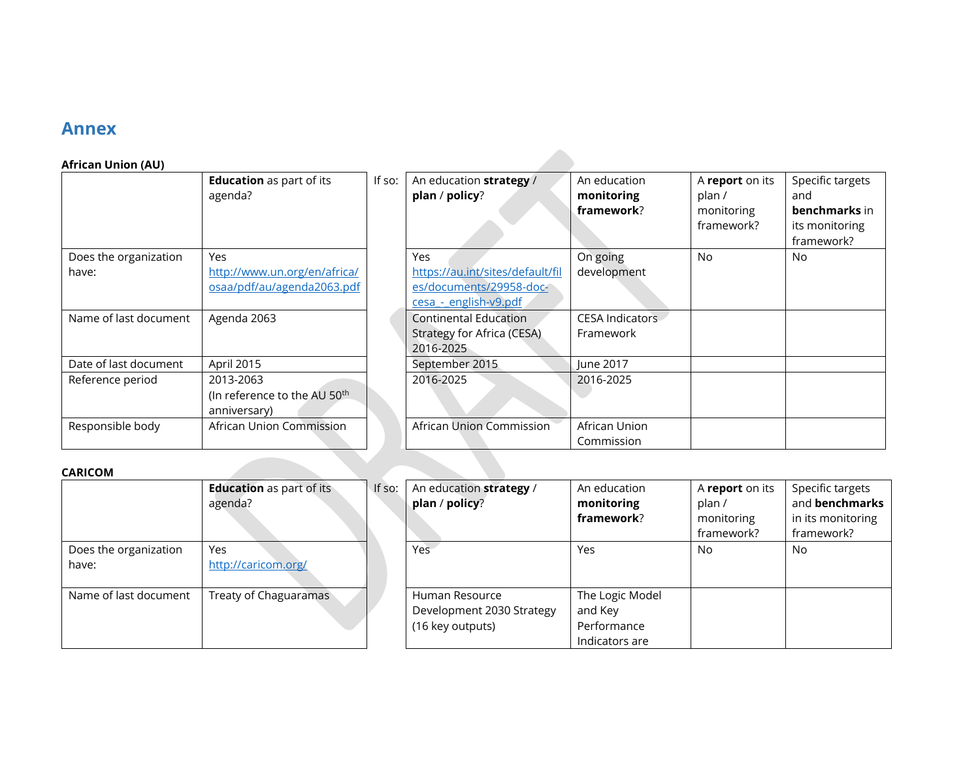### **Annex**

#### **African Union (AU)**

|                       | <b>Education</b> as part of its<br>agenda? | If so: | An education strategy /<br>plan / policy? | An education<br>monitoring<br>framework? |
|-----------------------|--------------------------------------------|--------|-------------------------------------------|------------------------------------------|
| Does the organization | Yes                                        |        | Yes                                       | On going                                 |
| have:                 | http://www.un.org/en/africa/               |        | https://au.int/sites/default/fil          | development                              |
|                       | osaa/pdf/au/agenda2063.pdf                 |        | es/documents/29958-doc-                   |                                          |
|                       |                                            |        | cesa - english-v9.pdf                     |                                          |
| Name of last document | Agenda 2063                                |        | <b>Continental Education</b>              | <b>CESA Indicator</b>                    |
|                       |                                            |        | Strategy for Africa (CESA)                | Framework                                |
|                       |                                            |        | 2016-2025                                 |                                          |
| Date of last document | April 2015                                 |        | September 2015                            | June 2017                                |
| Reference period      | 2013-2063                                  |        | 2016-2025                                 | 2016-2025                                |
|                       | (In reference to the AU 50 <sup>th</sup>   |        |                                           |                                          |
|                       | anniversary)                               |        |                                           |                                          |
| Responsible body      | African Union Commission                   |        | African Union Commission                  | African Union                            |
|                       |                                            |        |                                           | Commission                               |

| f so: | An education strategy /                                                                     | An education                        | A report on its                    | Specific targets             |
|-------|---------------------------------------------------------------------------------------------|-------------------------------------|------------------------------------|------------------------------|
|       | plan / policy?                                                                              | monitoring<br>framework?            | plan /<br>monitoring<br>framework? | and<br>benchmarks in         |
|       |                                                                                             |                                     |                                    | its monitoring<br>framework? |
|       | Yes<br>https://au.int/sites/default/fil<br>es/documents/29958-doc-<br>cesa - english-v9.pdf | On going<br>development             | No                                 | No                           |
|       | Continental Education<br>Strategy for Africa (CESA)<br>2016-2025                            | <b>CESA Indicators</b><br>Framework |                                    |                              |
|       | September 2015                                                                              | June 2017                           |                                    |                              |
|       | 2016-2025                                                                                   | 2016-2025                           |                                    |                              |
|       | African Union Commission                                                                    | African Union<br>Commission         |                                    |                              |

### **CARICOM**

|                                | <b>Education</b> as part of its<br>agenda? | If so: | An education stra<br>plan / policy?                   |
|--------------------------------|--------------------------------------------|--------|-------------------------------------------------------|
| Does the organization<br>have: | Yes<br>http://caricom.org/                 |        | Yes                                                   |
| Name of last document          | Treaty of Chaguaramas                      |        | Human Resource<br>Development 203<br>(16 key outputs) |

| An education strategy /<br>plan / policy? | An education<br>monitoring<br>framework? | A report on its<br>plan /<br>monitoring | Specific targets<br>and benchmarks<br>in its monitoring |
|-------------------------------------------|------------------------------------------|-----------------------------------------|---------------------------------------------------------|
|                                           |                                          | framework?                              | framework?                                              |
| Yes:                                      | Yes                                      | <b>No</b>                               | No                                                      |
|                                           |                                          |                                         |                                                         |
| Human Resource                            | The Logic Model                          |                                         |                                                         |
| Development 2030 Strategy                 | and Key                                  |                                         |                                                         |
| (16 key outputs)                          | Performance                              |                                         |                                                         |
|                                           | Indicators are                           |                                         |                                                         |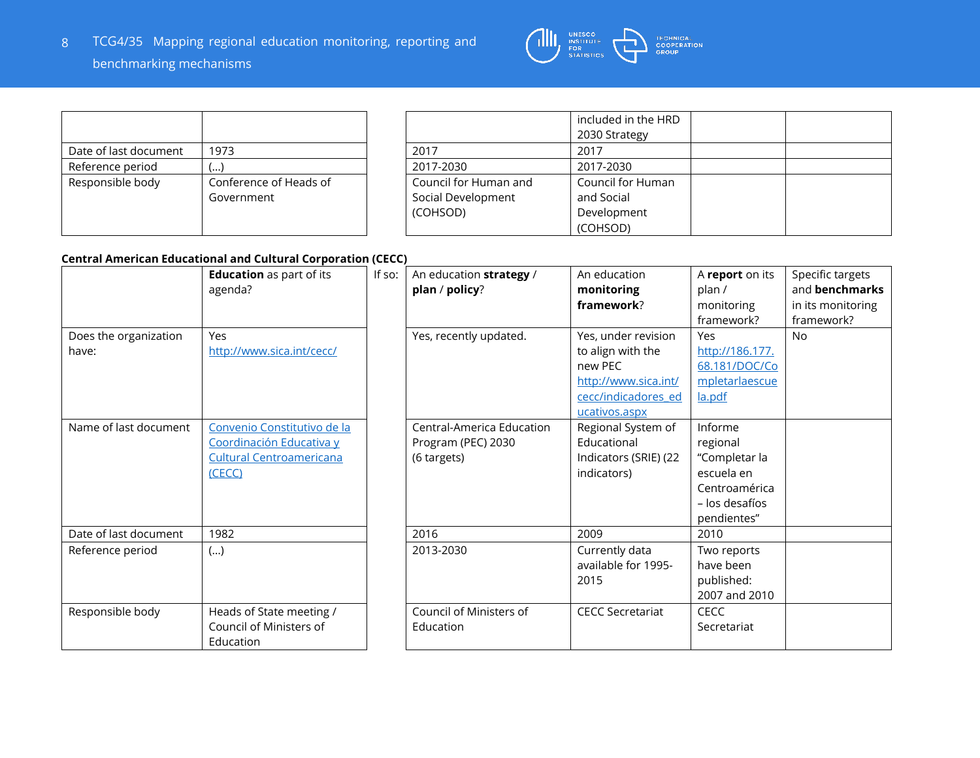

|                       |                        |                       | -included ir |
|-----------------------|------------------------|-----------------------|--------------|
|                       |                        |                       | 2030 Strat   |
| Date of last document | 1973                   | 2017                  | 2017         |
| Reference period      | (…)                    | 2017-2030             | 2017-2030    |
| Responsible body      | Conference of Heads of | Council for Human and | Council for  |
|                       | Government             | Social Development    | and Social   |
|                       |                        | (COHSOD)              | Developm     |
|                       |                        |                       | (COHSOD)     |

|                       | included in the HRD |  |
|-----------------------|---------------------|--|
|                       | 2030 Strategy       |  |
| 2017                  | 2017                |  |
| 2017-2030             | 2017-2030           |  |
|                       |                     |  |
| Council for Human and | Council for Human   |  |
| Social Development    | and Social          |  |
| (COHSOD)              | Development         |  |

### **Central American Educational and Cultural Corporation (CECC)**

|                                | <b>Education</b> as part of its<br>agenda?                                                           | If so: | An education strategy /<br>plan / policy?                      | An education<br>monitoring<br>framework?                                                                            | A report on its<br>plan /<br>monitoring<br>framework?                                                | Specific targets<br>and benchmarks<br>in its monitoring<br>framework? |
|--------------------------------|------------------------------------------------------------------------------------------------------|--------|----------------------------------------------------------------|---------------------------------------------------------------------------------------------------------------------|------------------------------------------------------------------------------------------------------|-----------------------------------------------------------------------|
| Does the organization<br>have: | <b>Yes</b><br>http://www.sica.int/cecc/                                                              |        | Yes, recently updated.                                         | Yes, under revision<br>to align with the<br>new PEC<br>http://www.sica.int/<br>cecc/indicadores ed<br>ucativos.aspx | Yes<br>http://186.177.<br>68.181/DOC/Co<br>mpletarlaescue<br>la.pdf                                  | <b>No</b>                                                             |
| Name of last document          | Convenio Constitutivo de la<br>Coordinación Educativa y<br><b>Cultural Centroamericana</b><br>(CECC) |        | Central-America Education<br>Program (PEC) 2030<br>(6 targets) | Regional System of<br>Educational<br>Indicators (SRIE) (22<br>indicators)                                           | Informe<br>regional<br>"Completar la<br>escuela en<br>Centroamérica<br>– los desafíos<br>pendientes" |                                                                       |
| Date of last document          | 1982                                                                                                 |        | 2016                                                           | 2009                                                                                                                | 2010                                                                                                 |                                                                       |
| Reference period               | ()                                                                                                   |        | 2013-2030                                                      | Currently data<br>available for 1995-<br>2015                                                                       | Two reports<br>have been<br>published:<br>2007 and 2010                                              |                                                                       |
| Responsible body               | Heads of State meeting /<br>Council of Ministers of<br>Education                                     |        | Council of Ministers of<br>Education                           | <b>CECC Secretariat</b>                                                                                             | <b>CECC</b><br>Secretariat                                                                           |                                                                       |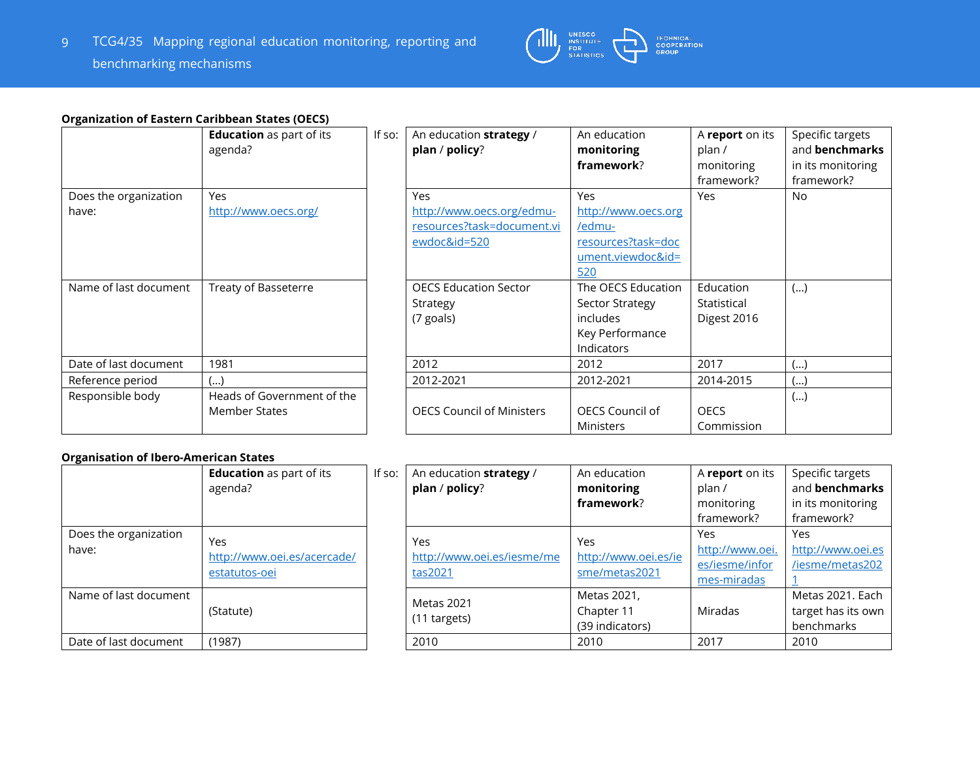

### **Organization of Eastern Caribbean States (OECS)**

|                                | <b>Education</b> as part of its<br>agenda?         | If so: | An education strategy<br>plan / policy?               |
|--------------------------------|----------------------------------------------------|--------|-------------------------------------------------------|
| Does the organization<br>have: | Yes<br>http://www.oecs.org/                        |        | Yes<br>http://www.oecs.org/ed                         |
|                                |                                                    |        | resources?task=docum<br>ewdoc&id=520                  |
| Name of last document          | Treaty of Basseterre                               |        | <b>OECS Education Sector</b><br>Strategy<br>(7 goals) |
| Date of last document          | 1981                                               |        | 2012                                                  |
| Reference period               | ()                                                 |        | 2012-2021                                             |
| Responsible body               | Heads of Government of the<br><b>Member States</b> |        | <b>OECS Council of Ministe</b>                        |

|                                | <b>Education</b> as part of its<br>agenda?  | If so: | An education strategy /<br>plan / policy?                                             | An education<br>monitoring<br>framework?                                                      | A report on its<br>plan /<br>monitoring<br>framework? | Specific targets<br>and benchmarks<br>in its monitoring<br>framework? |
|--------------------------------|---------------------------------------------|--------|---------------------------------------------------------------------------------------|-----------------------------------------------------------------------------------------------|-------------------------------------------------------|-----------------------------------------------------------------------|
| Does the organization<br>have: | <b>Yes</b><br>http://www.oecs.org/          |        | <b>Yes</b><br>http://www.oecs.org/edmu-<br>resources?task=document.vi<br>ewdoc&id=520 | <b>Yes</b><br>http://www.oecs.org<br>/edmu-<br>resources?task=doc<br>ument.viewdoc&id=<br>520 | Yes                                                   | <b>No</b>                                                             |
| Name of last document          | Treaty of Basseterre                        |        | <b>OECS Education Sector</b><br>Strategy<br>(7 goals)                                 | The OECS Education<br>Sector Strategy<br><i>includes</i><br>Key Performance<br>Indicators     | Education<br>Statistical<br>Digest 2016               | ()                                                                    |
| Date of last document          | 1981                                        |        | 2012                                                                                  | 2012                                                                                          | 2017                                                  | ()                                                                    |
| Reference period               | ()                                          |        | 2012-2021                                                                             | 2012-2021                                                                                     | 2014-2015                                             | ()                                                                    |
| Responsible body               | Heads of Government of the<br>Member States |        | <b>OECS Council of Ministers</b>                                                      | OECS Council of<br><b>Ministers</b>                                                           | <b>OECS</b><br>Commission                             | ()                                                                    |

#### **Organisation of Ibero-American States**

|                                | <b>Education</b> as part of its<br>agenda?          | If $so:$ | An educatio<br>plan / polic   |
|--------------------------------|-----------------------------------------------------|----------|-------------------------------|
| Does the organization<br>have: | Yes<br>http://www.oei.es/acercade/<br>estatutos-oei |          | Yes<br>http://www.<br>tas2021 |
| Name of last document          | (Statute)                                           |          | Metas 2021<br>(11 targets)    |
| Date of last document          | (1987)                                              |          | 2010                          |

|                       | <b>Education</b> as part of its | If so: | An education strategy /    | An education         | A report on its | Specific targets   |
|-----------------------|---------------------------------|--------|----------------------------|----------------------|-----------------|--------------------|
|                       | agenda?                         |        | plan / policy?             | monitoring           | plan/           | and benchmarks     |
|                       |                                 |        |                            | framework?           | monitoring      | in its monitoring  |
|                       |                                 |        |                            |                      | framework?      | framework?         |
| Does the organization | Yes                             |        | Yes                        | Yes                  | Yes             | Yes                |
| have:                 |                                 |        |                            |                      | http://www.oei. | http://www.oei.es  |
|                       | http://www.oei.es/acercade/     |        | http://www.oei.es/iesme/me | http://www.oei.es/ie | es/iesme/infor  | /iesme/metas202    |
|                       | estatutos-oei                   |        | tas2021                    | sme/metas2021        | mes-miradas     |                    |
| Name of last document |                                 |        | Metas 2021                 | Metas 2021,          |                 | Metas 2021. Each   |
|                       | (Statute)                       |        |                            | Chapter 11           | Miradas         | target has its own |
|                       |                                 |        | (11 targets)               | (39 indicators)      |                 | benchmarks         |
| Date of last document | (1987)                          |        | 2010                       | 2010                 | 2017            | 2010               |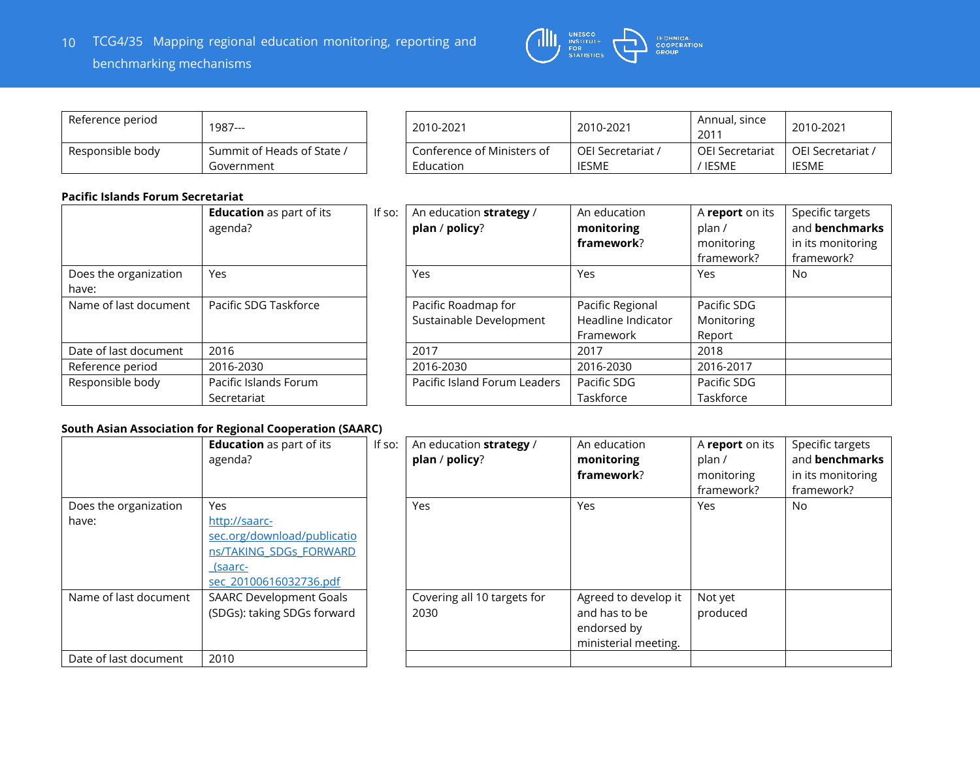

| Reference period | 1987---                                  |
|------------------|------------------------------------------|
| Responsible body | Summit of Heads of State /<br>Government |

| Reference period | 1987---                                  | 2010-2021                               | 2010-2021                         | Annual, since<br>2011      | 2010-2021                  |
|------------------|------------------------------------------|-----------------------------------------|-----------------------------------|----------------------------|----------------------------|
| Responsible body | Summit of Heads of State /<br>Government | Conference of Ministers of<br>Education | OEI Secretariat /<br><b>IESME</b> | OEI Secretariat<br>' IESME | OEI Secretariat /<br>IESME |

#### **Pacific Islands Forum Secretariat**

|                                | <b>Education</b> as part of its<br>agenda? | If so: | An education strate<br>plan / policy?      |
|--------------------------------|--------------------------------------------|--------|--------------------------------------------|
| Does the organization<br>have: | Yes                                        |        | Yes                                        |
| Name of last document          | Pacific SDG Taskforce                      |        | Pacific Roadmap for<br>Sustainable Develop |
| Date of last document          | 2016                                       |        | 2017                                       |
| Reference period               | 2016-2030                                  |        | 2016-2030                                  |
| Responsible body               | Pacific Islands Forum<br>Secretariat       |        | Pacific Island Forum                       |

| utiit iyiuliuy i VI ulli ytti ttullut |                                 |        |                              |                    |                 |                   |
|---------------------------------------|---------------------------------|--------|------------------------------|--------------------|-----------------|-------------------|
|                                       | <b>Education</b> as part of its | If so: | An education strategy /      | An education       | A report on its | Specific targets  |
|                                       | agenda?                         |        | plan / policy?               | monitoring         | plan /          | and benchmarks    |
|                                       |                                 |        |                              | framework?         | monitoring      | in its monitoring |
|                                       |                                 |        |                              |                    | framework?      | framework?        |
| Does the organization<br>have:        | Yes                             |        | Yes                          | Yes                | Yes             | No                |
| Name of last document                 | Pacific SDG Taskforce           |        | Pacific Roadmap for          | Pacific Regional   | Pacific SDG     |                   |
|                                       |                                 |        | Sustainable Development      | Headline Indicator | Monitoring      |                   |
|                                       |                                 |        |                              | Framework          | Report          |                   |
| Date of last document                 | 2016                            |        | 2017                         | 2017               | 2018            |                   |
| Reference period                      | 2016-2030                       |        | 2016-2030                    | 2016-2030          | 2016-2017       |                   |
| Responsible body                      | Pacific Islands Forum           |        | Pacific Island Forum Leaders | Pacific SDG        | Pacific SDG     |                   |
|                                       | Secretariat                     |        |                              | Taskforce          | Taskforce       |                   |

#### **South Asian Association for Regional Cooperation (SAARC)**

|                       | <b>Education</b> as part of its<br>agenda? | If so: | An education st<br>plan / policy? |
|-----------------------|--------------------------------------------|--------|-----------------------------------|
| Does the organization | Yes                                        |        | Yes                               |
| have:                 | http://saarc-                              |        |                                   |
|                       | sec.org/download/publicatio                |        |                                   |
|                       | ns/TAKING SDGs FORWARD                     |        |                                   |
|                       | (saarc-                                    |        |                                   |
|                       | sec 20100616032736.pdf                     |        |                                   |
| Name of last document | <b>SAARC Development Goals</b>             |        | Covering all 10 t                 |
|                       | (SDGs): taking SDGs forward                |        | 2030                              |
|                       |                                            |        |                                   |
| Date of last document | 2010                                       |        |                                   |

| If so: | An education strategy /<br>plan / policy? | An education<br>monitoring<br>framework?                                     | A report on its<br>plan /<br>monitoring<br>framework? | Specific targets<br>and benchmarks<br>in its monitoring<br>framework? |
|--------|-------------------------------------------|------------------------------------------------------------------------------|-------------------------------------------------------|-----------------------------------------------------------------------|
|        | Yes                                       | Yes                                                                          | Yes                                                   | No.                                                                   |
|        | Covering all 10 targets for<br>2030       | Agreed to develop it<br>and has to be<br>endorsed by<br>ministerial meeting. | Not yet<br>produced                                   |                                                                       |